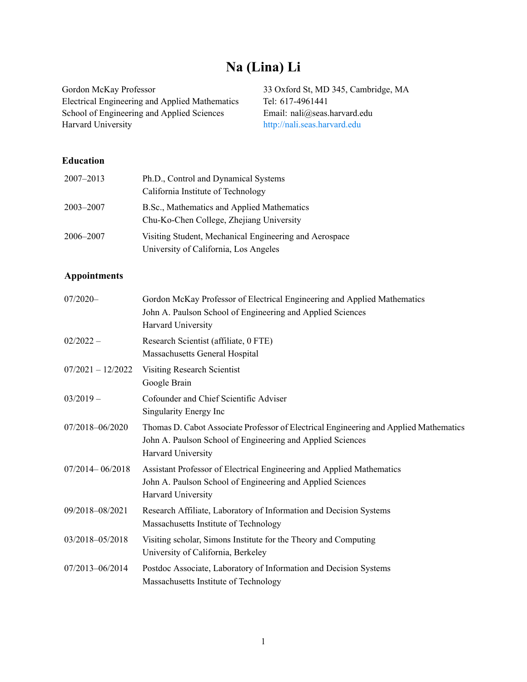# **Na (Lina) Li**

Gordon McKay Professor 33 Oxford St, MD 345, Cambridge, MA Electrical Engineering and Applied Mathematics Tel: 617-4961441<br>School of Engineering and Applied Sciences Email: nali@seas.harvard.edu School of Engineering and Applied Sciences<br>Harvard University

<http://nali.seas.harvard.edu>

# **Education**

| 2007-2013 | Ph.D., Control and Dynamical Systems                                                            |
|-----------|-------------------------------------------------------------------------------------------------|
|           | California Institute of Technology                                                              |
| 2003-2007 | B.Sc., Mathematics and Applied Mathematics<br>Chu-Ko-Chen College, Zhejiang University          |
| 2006–2007 | Visiting Student, Mechanical Engineering and Aerospace<br>University of California, Los Angeles |

# **Appointments**

| $07/2020 -$         | Gordon McKay Professor of Electrical Engineering and Applied Mathematics<br>John A. Paulson School of Engineering and Applied Sciences<br>Harvard University              |
|---------------------|---------------------------------------------------------------------------------------------------------------------------------------------------------------------------|
| $02/2022 -$         | Research Scientist (affiliate, 0 FTE)<br>Massachusetts General Hospital                                                                                                   |
| $07/2021 - 12/2022$ | <b>Visiting Research Scientist</b><br>Google Brain                                                                                                                        |
| $03/2019 -$         | Cofounder and Chief Scientific Adviser<br>Singularity Energy Inc                                                                                                          |
| 07/2018-06/2020     | Thomas D. Cabot Associate Professor of Electrical Engineering and Applied Mathematics<br>John A. Paulson School of Engineering and Applied Sciences<br>Harvard University |
| $07/2014 - 06/2018$ | Assistant Professor of Electrical Engineering and Applied Mathematics<br>John A. Paulson School of Engineering and Applied Sciences<br>Harvard University                 |
| 09/2018-08/2021     | Research Affiliate, Laboratory of Information and Decision Systems<br>Massachusetts Institute of Technology                                                               |
| 03/2018-05/2018     | Visiting scholar, Simons Institute for the Theory and Computing<br>University of California, Berkeley                                                                     |
| 07/2013-06/2014     | Postdoc Associate, Laboratory of Information and Decision Systems<br>Massachusetts Institute of Technology                                                                |
|                     |                                                                                                                                                                           |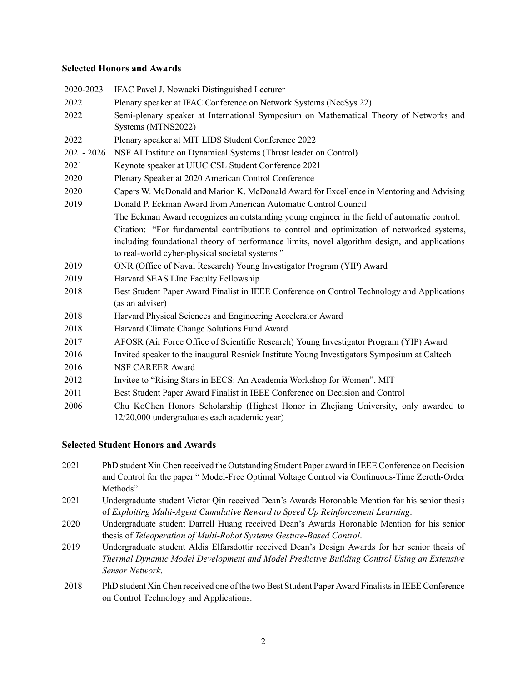# **Selected Honors and Awards**

| 2020-2023 | IFAC Pavel J. Nowacki Distinguished Lecturer                                                  |
|-----------|-----------------------------------------------------------------------------------------------|
| 2022      | Plenary speaker at IFAC Conference on Network Systems (NecSys 22)                             |
| 2022      | Semi-plenary speaker at International Symposium on Mathematical Theory of Networks and        |
|           | Systems (MTNS2022)                                                                            |
| 2022      | Plenary speaker at MIT LIDS Student Conference 2022                                           |
| 2021-2026 | NSF AI Institute on Dynamical Systems (Thrust leader on Control)                              |
| 2021      | Keynote speaker at UIUC CSL Student Conference 2021                                           |
| 2020      | Plenary Speaker at 2020 American Control Conference                                           |
| 2020      | Capers W. McDonald and Marion K. McDonald Award for Excellence in Mentoring and Advising      |
| 2019      | Donald P. Eckman Award from American Automatic Control Council                                |
|           | The Eckman Award recognizes an outstanding young engineer in the field of automatic control.  |
|           | Citation: "For fundamental contributions to control and optimization of networked systems,    |
|           | including foundational theory of performance limits, novel algorithm design, and applications |
|           | to real-world cyber-physical societal systems"                                                |
| 2019      | ONR (Office of Naval Research) Young Investigator Program (YIP) Award                         |
| 2019      | Harvard SEAS LInc Faculty Fellowship                                                          |
| 2018      | Best Student Paper Award Finalist in IEEE Conference on Control Technology and Applications   |
|           | (as an adviser)                                                                               |
| 2018      | Harvard Physical Sciences and Engineering Accelerator Award                                   |
| 2018      | Harvard Climate Change Solutions Fund Award                                                   |
| 2017      | AFOSR (Air Force Office of Scientific Research) Young Investigator Program (YIP) Award        |
| 2016      | Invited speaker to the inaugural Resnick Institute Young Investigators Symposium at Caltech   |
| 2016      | <b>NSF CAREER Award</b>                                                                       |
| 2012      | Invitee to "Rising Stars in EECS: An Academia Workshop for Women", MIT                        |
| 2011      | Best Student Paper Award Finalist in IEEE Conference on Decision and Control                  |
| 2006      | Chu KoChen Honors Scholarship (Highest Honor in Zhejiang University, only awarded to          |
|           | 12/20,000 undergraduates each academic year)                                                  |

# **Selected Student Honors and Awards**

- 2021 PhD student Xin Chen received the Outstanding Student Paper award in IEEE Conference on Decision and Control for the paper " Model-Free Optimal Voltage Control via Continuous-Time Zeroth-Order Methods"
- 2021 Undergraduate student Victor Qin received Dean's Awards Horonable Mention for his senior thesis of *Exploiting Multi-Agent Cumulative Reward to Speed Up Reinforcement Learning*.
- 2020 Undergraduate student Darrell Huang received Dean's Awards Horonable Mention for his senior thesis of *Teleoperation of Multi-Robot Systems Gesture-Based Control*.
- 2019 Undergraduate student Aldis Elfarsdottir received Dean's Design Awards for her senior thesis of *Thermal Dynamic Model Development and Model Predictive Building Control Using an Extensive Sensor Network*.
- 2018 PhD student Xin Chen received one of the two Best Student Paper Award Finalists in IEEE Conference on Control Technology and Applications.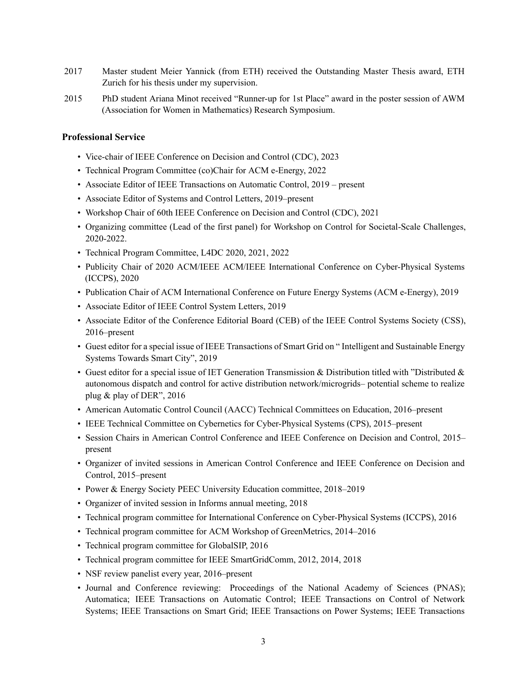- 2017 Master student Meier Yannick (from ETH) received the Outstanding Master Thesis award, ETH Zurich for his thesis under my supervision.
- 2015 PhD student Ariana Minot received "Runner-up for 1st Place" award in the poster session of AWM (Association for Women in Mathematics) Research Symposium.

## **Professional Service**

- Vice-chair of IEEE Conference on Decision and Control (CDC), 2023
- Technical Program Committee (co)Chair for ACM e-Energy, 2022
- Associate Editor of IEEE Transactions on Automatic Control, 2019 present
- Associate Editor of Systems and Control Letters, 2019–present
- Workshop Chair of 60th IEEE Conference on Decision and Control (CDC), 2021
- Organizing committee (Lead of the first panel) for Workshop on Control for Societal-Scale Challenges, 2020-2022.
- Technical Program Committee, L4DC 2020, 2021, 2022
- Publicity Chair of 2020 ACM/IEEE ACM/IEEE International Conference on Cyber-Physical Systems (ICCPS), 2020
- Publication Chair of ACM International Conference on Future Energy Systems (ACM e-Energy), 2019
- Associate Editor of IEEE Control System Letters, 2019
- Associate Editor of the Conference Editorial Board (CEB) of the IEEE Control Systems Society (CSS), 2016–present
- Guest editor for a special issue of IEEE Transactions of Smart Grid on " Intelligent and Sustainable Energy Systems Towards Smart City", 2019
- Guest editor for a special issue of IET Generation Transmission & Distribution titled with "Distributed  $\&$ autonomous dispatch and control for active distribution network/microgrids– potential scheme to realize plug & play of DER", 2016
- American Automatic Control Council (AACC) Technical Committees on Education, 2016–present
- IEEE Technical Committee on Cybernetics for Cyber-Physical Systems (CPS), 2015–present
- Session Chairs in American Control Conference and IEEE Conference on Decision and Control, 2015– present
- Organizer of invited sessions in American Control Conference and IEEE Conference on Decision and Control, 2015–present
- Power & Energy Society PEEC University Education committee, 2018–2019
- Organizer of invited session in Informs annual meeting, 2018
- Technical program committee for International Conference on Cyber-Physical Systems (ICCPS), 2016
- Technical program committee for ACM Workshop of GreenMetrics, 2014–2016
- Technical program committee for GlobalSIP, 2016
- Technical program committee for IEEE SmartGridComm, 2012, 2014, 2018
- NSF review panelist every year, 2016–present
- Journal and Conference reviewing: Proceedings of the National Academy of Sciences (PNAS); Automatica; IEEE Transactions on Automatic Control; IEEE Transactions on Control of Network Systems; IEEE Transactions on Smart Grid; IEEE Transactions on Power Systems; IEEE Transactions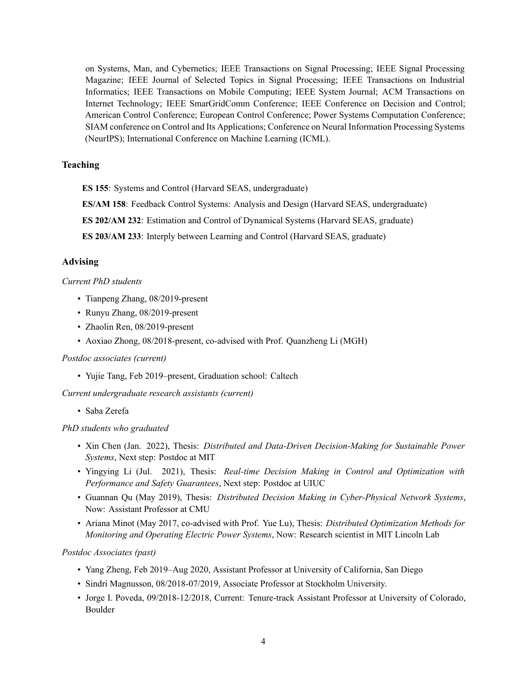on Systems, Man, and Cybernetics; IEEE Transactions on Signal Processing; IEEE Signal Processing Magazine; IEEE Journal of Selected Topics in Signal Processing; IEEE Transactions on Industrial Informatics; IEEE Transactions on Mobile Computing; IEEE System Journal; ACM Transactions on Internet Technology; IEEE SmarGridComm Conference; IEEE Conference on Decision and Control; American Control Conference; European Control Conference; Power Systems Computation Conference; SIAM conference on Control and Its Applications; Conference on Neural Information Processing Systems (NeurIPS); International Conference on Machine Learning (ICML).

## **Teaching**

**ES 155**: Systems and Control (Harvard SEAS, undergraduate)

**ES/AM 158**: Feedback Control Systems: Analysis and Design (Harvard SEAS, undergraduate)

**ES 202/AM 232**: Estimation and Control of Dynamical Systems (Harvard SEAS, graduate)

**ES 203/AM 233**: Interply between Learning and Control (Harvard SEAS, graduate)

## **Advising**

# *Current PhD students*

- Tianpeng Zhang, 08/2019-present
- Runyu Zhang, 08/2019-present
- Zhaolin Ren, 08/2019-present
- Aoxiao Zhong, 08/2018-present, co-advised with Prof. Quanzheng Li (MGH)

#### *Postdoc associates (current)*

• Yujie Tang, Feb 2019–present, Graduation school: Caltech

*Current undergraduate research assistants (current)*

• Saba Zerefa

#### *PhD students who graduated*

- Xin Chen (Jan. 2022), Thesis: *Distributed and Data-Driven Decision-Making for Sustainable Power Systems*, Next step: Postdoc at MIT
- Yingying Li (Jul. 2021), Thesis: *Real-time Decision Making in Control and Optimization with Performance and Safety Guarantees*, Next step: Postdoc at UIUC
- Guannan Qu (May 2019), Thesis: *Distributed Decision Making in Cyber-Physical Network Systems*, Now: Assistant Professor at CMU
- Ariana Minot (May 2017, co-advised with Prof. Yue Lu), Thesis: *Distributed Optimization Methods for Monitoring and Operating Electric Power Systems*, Now: Research scientist in MIT Lincoln Lab

#### *Postdoc Associates (past)*

- Yang Zheng, Feb 2019–Aug 2020, Assistant Professor at University of California, San Diego
- Sindri Magnusson, 08/2018-07/2019, Associate Professor at Stockholm University.
- Jorge I. Poveda, 09/2018-12/2018, Current: Tenure-track Assistant Professor at University of Colorado, Boulder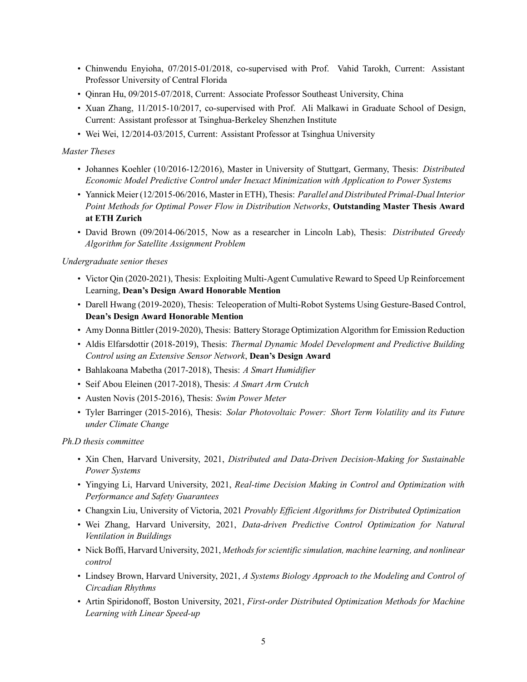- Chinwendu Enyioha, 07/2015-01/2018, co-supervised with Prof. Vahid Tarokh, Current: Assistant Professor University of Central Florida
- Qinran Hu, 09/2015-07/2018, Current: Associate Professor Southeast University, China
- Xuan Zhang, 11/2015-10/2017, co-supervised with Prof. Ali Malkawi in Graduate School of Design, Current: Assistant professor at Tsinghua-Berkeley Shenzhen Institute
- Wei Wei, 12/2014-03/2015, Current: Assistant Professor at Tsinghua University

# *Master Theses*

- Johannes Koehler (10/2016-12/2016), Master in University of Stuttgart, Germany, Thesis: *Distributed Economic Model Predictive Control under Inexact Minimization with Application to Power Systems*
- Yannick Meier (12/2015-06/2016, Master in ETH), Thesis: *Parallel and Distributed Primal-Dual Interior Point Methods for Optimal Power Flow in Distribution Networks*, **Outstanding Master Thesis Award at ETH Zurich**
- David Brown (09/2014-06/2015, Now as a researcher in Lincoln Lab), Thesis: *Distributed Greedy Algorithm for Satellite Assignment Problem*

# *Undergraduate senior theses*

- Victor Qin (2020-2021), Thesis: Exploiting Multi-Agent Cumulative Reward to Speed Up Reinforcement Learning, **Dean's Design Award Honorable Mention**
- Darell Hwang (2019-2020), Thesis: Teleoperation of Multi-Robot Systems Using Gesture-Based Control, **Dean's Design Award Honorable Mention**
- Amy Donna Bittler (2019-2020), Thesis: Battery Storage Optimization Algorithm for Emission Reduction
- Aldis Elfarsdottir (2018-2019), Thesis: *Thermal Dynamic Model Development and Predictive Building Control using an Extensive Sensor Network*, **Dean's Design Award**
- Bahlakoana Mabetha (2017-2018), Thesis: *A Smart Humidifier*
- Seif Abou Eleinen (2017-2018), Thesis: *A Smart Arm Crutch*
- Austen Novis (2015-2016), Thesis: *Swim Power Meter*
- Tyler Barringer (2015-2016), Thesis: *Solar Photovoltaic Power: Short Term Volatility and its Future under Climate Change*

# *Ph.D thesis committee*

- Xin Chen, Harvard University, 2021, *Distributed and Data-Driven Decision-Making for Sustainable Power Systems*
- Yingying Li, Harvard University, 2021, *Real-time Decision Making in Control and Optimization with Performance and Safety Guarantees*
- Changxin Liu, University of Victoria, 2021 *Provably Efficient Algorithms for Distributed Optimization*
- Wei Zhang, Harvard University, 2021, *Data-driven Predictive Control Optimization for Natural Ventilation in Buildings*
- Nick Boffi, Harvard University, 2021, *Methods for scientific simulation, machine learning, and nonlinear control*
- Lindsey Brown, Harvard University, 2021, *A Systems Biology Approach to the Modeling and Control of Circadian Rhythms*
- Artin Spiridonoff, Boston University, 2021, *First-order Distributed Optimization Methods for Machine Learning with Linear Speed-up*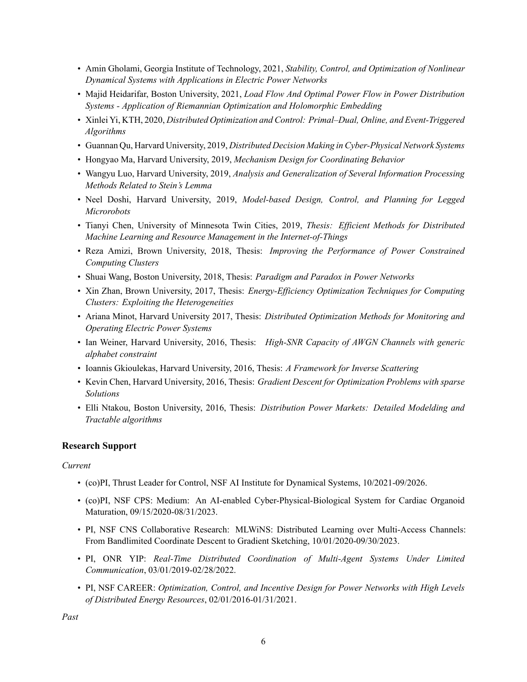- Amin Gholami, Georgia Institute of Technology, 2021, *Stability, Control, and Optimization of Nonlinear Dynamical Systems with Applications in Electric Power Networks*
- Majid Heidarifar, Boston University, 2021, *Load Flow And Optimal Power Flow in Power Distribution Systems - Application of Riemannian Optimization and Holomorphic Embedding*
- Xinlei Yi, KTH, 2020, *Distributed Optimization and Control: Primal–Dual, Online, and Event-Triggered Algorithms*
- Guannan Qu, Harvard University, 2019, *Distributed Decision Making in Cyber-Physical Network Systems*
- Hongyao Ma, Harvard University, 2019, *Mechanism Design for Coordinating Behavior*
- Wangyu Luo, Harvard University, 2019, *Analysis and Generalization of Several Information Processing Methods Related to Stein's Lemma*
- Neel Doshi, Harvard University, 2019, *Model-based Design, Control, and Planning for Legged Microrobots*
- Tianyi Chen, University of Minnesota Twin Cities, 2019, *Thesis: Efficient Methods for Distributed Machine Learning and Resource Management in the Internet-of-Things*
- Reza Amizi, Brown University, 2018, Thesis: *Improving the Performance of Power Constrained Computing Clusters*
- Shuai Wang, Boston University, 2018, Thesis: *Paradigm and Paradox in Power Networks*
- Xin Zhan, Brown University, 2017, Thesis: *Energy-Efficiency Optimization Techniques for Computing Clusters: Exploiting the Heterogeneities*
- Ariana Minot, Harvard University 2017, Thesis: *Distributed Optimization Methods for Monitoring and Operating Electric Power Systems*
- Ian Weiner, Harvard University, 2016, Thesis: *High-SNR Capacity of AWGN Channels with generic alphabet constraint*
- Ioannis Gkioulekas, Harvard University, 2016, Thesis: *A Framework for Inverse Scattering*
- Kevin Chen, Harvard University, 2016, Thesis: *Gradient Descent for Optimization Problems with sparse Solutions*
- Elli Ntakou, Boston University, 2016, Thesis: *Distribution Power Markets: Detailed Modelding and Tractable algorithms*

# **Research Support**

# *Current*

- (co)PI, Thrust Leader for Control, NSF AI Institute for Dynamical Systems, 10/2021-09/2026.
- (co)PI, NSF CPS: Medium: An AI-enabled Cyber-Physical-Biological System for Cardiac Organoid Maturation, 09/15/2020-08/31/2023.
- PI, NSF CNS Collaborative Research: MLWiNS: Distributed Learning over Multi-Access Channels: From Bandlimited Coordinate Descent to Gradient Sketching, 10/01/2020-09/30/2023.
- PI, ONR YIP: *Real-Time Distributed Coordination of Multi-Agent Systems Under Limited Communication*, 03/01/2019-02/28/2022.
- PI, NSF CAREER: *Optimization, Control, and Incentive Design for Power Networks with High Levels of Distributed Energy Resources*, 02/01/2016-01/31/2021.

*Past*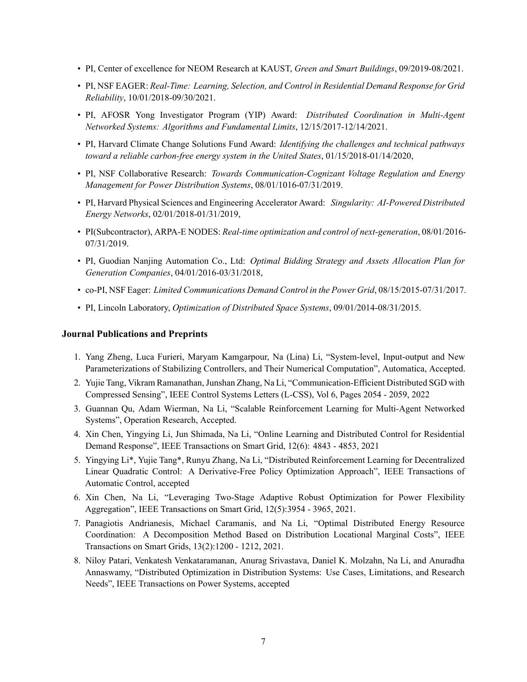- PI, Center of excellence for NEOM Research at KAUST, *Green and Smart Buildings*, 09/2019-08/2021.
- PI, NSF EAGER: *Real-Time: Learning, Selection, and Control in Residential Demand Response for Grid Reliability*, 10/01/2018-09/30/2021.
- PI, AFOSR Yong Investigator Program (YIP) Award: *Distributed Coordination in Multi-Agent Networked Systems: Algorithms and Fundamental Limits*, 12/15/2017-12/14/2021.
- PI, Harvard Climate Change Solutions Fund Award: *Identifying the challenges and technical pathways toward a reliable carbon-free energy system in the United States*, 01/15/2018-01/14/2020,
- PI, NSF Collaborative Research: *Towards Communication-Cognizant Voltage Regulation and Energy Management for Power Distribution Systems*, 08/01/1016-07/31/2019.
- PI, Harvard Physical Sciences and Engineering Accelerator Award: *Singularity: AI-Powered Distributed Energy Networks*, 02/01/2018-01/31/2019,
- PI(Subcontractor), ARPA-E NODES: *Real-time optimization and control of next-generation*, 08/01/2016- 07/31/2019.
- PI, Guodian Nanjing Automation Co., Ltd: *Optimal Bidding Strategy and Assets Allocation Plan for Generation Companies*, 04/01/2016-03/31/2018,
- co-PI, NSF Eager: *Limited Communications Demand Control in the Power Grid*, 08/15/2015-07/31/2017.
- PI, Lincoln Laboratory, *Optimization of Distributed Space Systems*, 09/01/2014-08/31/2015.

## **Journal Publications and Preprints**

- 1. Yang Zheng, Luca Furieri, Maryam Kamgarpour, Na (Lina) Li, "System-level, Input-output and New Parameterizations of Stabilizing Controllers, and Their Numerical Computation", Automatica, Accepted.
- 2. Yujie Tang, Vikram Ramanathan, Junshan Zhang, Na Li, "Communication-Efficient Distributed SGD with Compressed Sensing", IEEE Control Systems Letters (L-CSS), Vol 6, Pages 2054 - 2059, 2022
- 3. Guannan Qu, Adam Wierman, Na Li, "Scalable Reinforcement Learning for Multi-Agent Networked Systems", Operation Research, Accepted.
- 4. Xin Chen, Yingying Li, Jun Shimada, Na Li, "Online Learning and Distributed Control for Residential Demand Response", IEEE Transactions on Smart Grid, 12(6): 4843 - 4853, 2021
- 5. Yingying Li\*, Yujie Tang\*, Runyu Zhang, Na Li, "Distributed Reinforcement Learning for Decentralized Linear Quadratic Control: A Derivative-Free Policy Optimization Approach", IEEE Transactions of Automatic Control, accepted
- 6. Xin Chen, Na Li, "Leveraging Two-Stage Adaptive Robust Optimization for Power Flexibility Aggregation", IEEE Transactions on Smart Grid, 12(5):3954 - 3965, 2021.
- 7. Panagiotis Andrianesis, Michael Caramanis, and Na Li, "Optimal Distributed Energy Resource Coordination: A Decomposition Method Based on Distribution Locational Marginal Costs", IEEE Transactions on Smart Grids, 13(2):1200 - 1212, 2021.
- 8. Niloy Patari, Venkatesh Venkataramanan, Anurag Srivastava, Daniel K. Molzahn, Na Li, and Anuradha Annaswamy, "Distributed Optimization in Distribution Systems: Use Cases, Limitations, and Research Needs", IEEE Transactions on Power Systems, accepted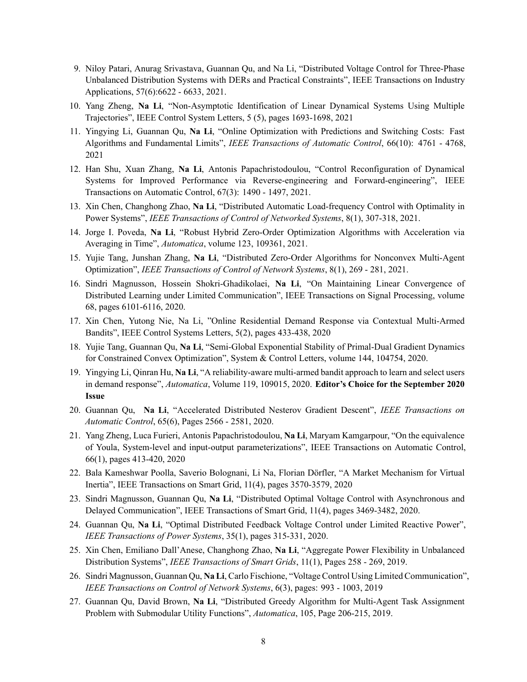- 9. Niloy Patari, Anurag Srivastava, Guannan Qu, and Na Li, "Distributed Voltage Control for Three-Phase Unbalanced Distribution Systems with DERs and Practical Constraints", IEEE Transactions on Industry Applications, 57(6):6622 - 6633, 2021.
- 10. Yang Zheng, **Na Li**, "Non-Asymptotic Identification of Linear Dynamical Systems Using Multiple Trajectories", IEEE Control System Letters, 5 (5), pages 1693-1698, 2021
- 11. Yingying Li, Guannan Qu, **Na Li**, "Online Optimization with Predictions and Switching Costs: Fast Algorithms and Fundamental Limits", *IEEE Transactions of Automatic Control*, 66(10): 4761 - 4768, 2021
- 12. Han Shu, Xuan Zhang, **Na Li**, Antonis Papachristodoulou, "Control Reconfiguration of Dynamical Systems for Improved Performance via Reverse-engineering and Forward-engineering", IEEE Transactions on Automatic Control, 67(3): 1490 - 1497, 2021.
- 13. Xin Chen, Changhong Zhao, **Na Li**, "Distributed Automatic Load-frequency Control with Optimality in Power Systems", *IEEE Transactions of Control of Networked Systems*, 8(1), 307-318, 2021.
- 14. Jorge I. Poveda, **Na Li**, "Robust Hybrid Zero-Order Optimization Algorithms with Acceleration via Averaging in Time", *Automatica*, volume 123, 109361, 2021.
- 15. Yujie Tang, Junshan Zhang, **Na Li**, "Distributed Zero-Order Algorithms for Nonconvex Multi-Agent Optimization", *IEEE Transactions of Control of Network Systems*, 8(1), 269 - 281, 2021.
- 16. Sindri Magnusson, Hossein Shokri-Ghadikolaei, **Na Li**, "On Maintaining Linear Convergence of Distributed Learning under Limited Communication", IEEE Transactions on Signal Processing, volume 68, pages 6101-6116, 2020.
- 17. Xin Chen, Yutong Nie, Na Li, "Online Residential Demand Response via Contextual Multi-Armed Bandits", IEEE Control Systems Letters, 5(2), pages 433-438, 2020
- 18. Yujie Tang, Guannan Qu, **Na Li**, "Semi-Global Exponential Stability of Primal-Dual Gradient Dynamics for Constrained Convex Optimization", System & Control Letters, volume 144, 104754, 2020.
- 19. Yingying Li, Qinran Hu, **Na Li**, "A reliability-aware multi-armed bandit approach to learn and select users in demand response", *Automatica*, Volume 119, 109015, 2020. **Editor's Choice for the September 2020 Issue**
- 20. Guannan Qu, **Na Li**, "Accelerated Distributed Nesterov Gradient Descent", *IEEE Transactions on Automatic Control*, 65(6), Pages 2566 - 2581, 2020.
- 21. Yang Zheng, Luca Furieri, Antonis Papachristodoulou, **Na Li**, Maryam Kamgarpour, "On the equivalence of Youla, System-level and input-output parameterizations", IEEE Transactions on Automatic Control, 66(1), pages 413-420, 2020
- 22. Bala Kameshwar Poolla, Saverio Bolognani, Li Na, Florian Dörfler, "A Market Mechanism for Virtual Inertia", IEEE Transactions on Smart Grid, 11(4), pages 3570-3579, 2020
- 23. Sindri Magnusson, Guannan Qu, **Na Li**, "Distributed Optimal Voltage Control with Asynchronous and Delayed Communication", IEEE Transactions of Smart Grid, 11(4), pages 3469-3482, 2020.
- 24. Guannan Qu, **Na Li**, "Optimal Distributed Feedback Voltage Control under Limited Reactive Power", *IEEE Transactions of Power Systems*, 35(1), pages 315-331, 2020.
- 25. Xin Chen, Emiliano Dall'Anese, Changhong Zhao, **Na Li**, "Aggregate Power Flexibility in Unbalanced Distribution Systems", *IEEE Transactions of Smart Grids*, 11(1), Pages 258 - 269, 2019.
- 26. Sindri Magnusson, Guannan Qu, **Na Li**, Carlo Fischione, "Voltage Control Using Limited Communication", *IEEE Transactions on Control of Network Systems*, 6(3), pages: 993 - 1003, 2019
- 27. Guannan Qu, David Brown, **Na Li**, "Distributed Greedy Algorithm for Multi-Agent Task Assignment Problem with Submodular Utility Functions", *Automatica*, 105, Page 206-215, 2019.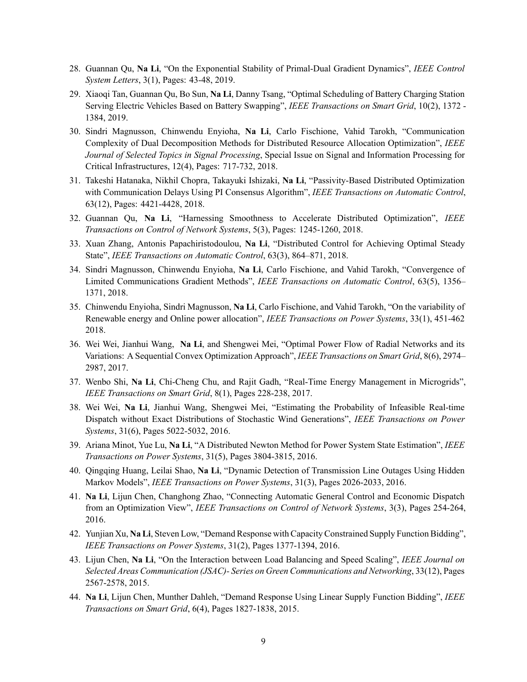- 28. Guannan Qu, **Na Li**, "On the Exponential Stability of Primal-Dual Gradient Dynamics", *IEEE Control System Letters*, 3(1), Pages: 43-48, 2019.
- 29. Xiaoqi Tan, Guannan Qu, Bo Sun, **Na Li**, Danny Tsang, "Optimal Scheduling of Battery Charging Station Serving Electric Vehicles Based on Battery Swapping", *IEEE Transactions on Smart Grid*, 10(2), 1372 - 1384, 2019.
- 30. Sindri Magnusson, Chinwendu Enyioha, **Na Li**, Carlo Fischione, Vahid Tarokh, "Communication Complexity of Dual Decomposition Methods for Distributed Resource Allocation Optimization", *IEEE Journal of Selected Topics in Signal Processing*, Special Issue on Signal and Information Processing for Critical Infrastructures, 12(4), Pages: 717-732, 2018.
- 31. Takeshi Hatanaka, Nikhil Chopra, Takayuki Ishizaki, **Na Li**, "Passivity-Based Distributed Optimization with Communication Delays Using PI Consensus Algorithm", *IEEE Transactions on Automatic Control*, 63(12), Pages: 4421-4428, 2018.
- 32. Guannan Qu, **Na Li**, "Harnessing Smoothness to Accelerate Distributed Optimization", *IEEE Transactions on Control of Network Systems*, 5(3), Pages: 1245-1260, 2018.
- 33. Xuan Zhang, Antonis Papachiristodoulou, **Na Li**, "Distributed Control for Achieving Optimal Steady State", *IEEE Transactions on Automatic Control*, 63(3), 864–871, 2018.
- 34. Sindri Magnusson, Chinwendu Enyioha, **Na Li**, Carlo Fischione, and Vahid Tarokh, "Convergence of Limited Communications Gradient Methods", *IEEE Transactions on Automatic Control*, 63(5), 1356– 1371, 2018.
- 35. Chinwendu Enyioha, Sindri Magnusson, **Na Li**, Carlo Fischione, and Vahid Tarokh, "On the variability of Renewable energy and Online power allocation", *IEEE Transactions on Power Systems*, 33(1), 451-462 2018.
- 36. Wei Wei, Jianhui Wang, **Na Li**, and Shengwei Mei, "Optimal Power Flow of Radial Networks and its Variations: A Sequential Convex Optimization Approach", *IEEE Transactions on Smart Grid*, 8(6), 2974– 2987, 2017.
- 37. Wenbo Shi, **Na Li**, Chi-Cheng Chu, and Rajit Gadh, "Real-Time Energy Management in Microgrids", *IEEE Transactions on Smart Grid*, 8(1), Pages 228-238, 2017.
- 38. Wei Wei, **Na Li**, Jianhui Wang, Shengwei Mei, "Estimating the Probability of Infeasible Real-time Dispatch without Exact Distributions of Stochastic Wind Generations", *IEEE Transactions on Power Systems*, 31(6), Pages 5022-5032, 2016.
- 39. Ariana Minot, Yue Lu, **Na Li**, "A Distributed Newton Method for Power System State Estimation", *IEEE Transactions on Power Systems*, 31(5), Pages 3804-3815, 2016.
- 40. Qingqing Huang, Leilai Shao, **Na Li**, "Dynamic Detection of Transmission Line Outages Using Hidden Markov Models", *IEEE Transactions on Power Systems*, 31(3), Pages 2026-2033, 2016.
- 41. **Na Li**, Lijun Chen, Changhong Zhao, "Connecting Automatic General Control and Economic Dispatch from an Optimization View", *IEEE Transactions on Control of Network Systems*, 3(3), Pages 254-264, 2016.
- 42. Yunjian Xu, **Na Li**, Steven Low, "Demand Response with Capacity Constrained Supply Function Bidding", *IEEE Transactions on Power Systems*, 31(2), Pages 1377-1394, 2016.
- 43. Lijun Chen, **Na Li**, "On the Interaction between Load Balancing and Speed Scaling", *IEEE Journal on Selected Areas Communication (JSAC)- Series on Green Communications and Networking*, 33(12), Pages 2567-2578, 2015.
- 44. **Na Li**, Lijun Chen, Munther Dahleh, "Demand Response Using Linear Supply Function Bidding", *IEEE Transactions on Smart Grid*, 6(4), Pages 1827-1838, 2015.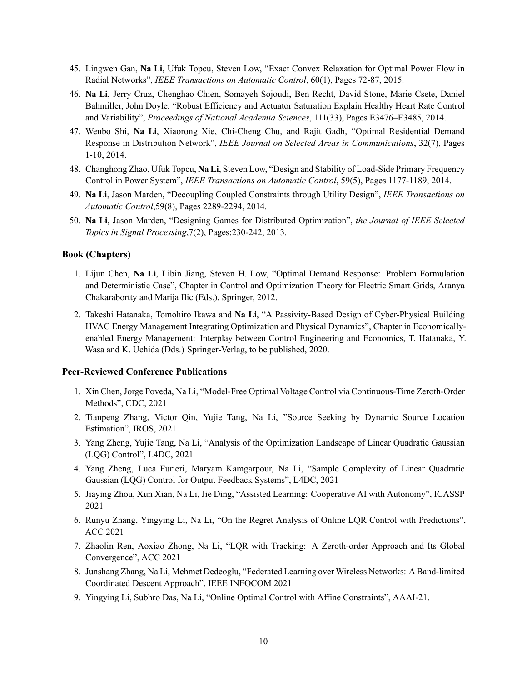- 45. Lingwen Gan, **Na Li**, Ufuk Topcu, Steven Low, "Exact Convex Relaxation for Optimal Power Flow in Radial Networks", *IEEE Transactions on Automatic Control*, 60(1), Pages 72-87, 2015.
- 46. **Na Li**, Jerry Cruz, Chenghao Chien, Somayeh Sojoudi, Ben Recht, David Stone, Marie Csete, Daniel Bahmiller, John Doyle, "Robust Efficiency and Actuator Saturation Explain Healthy Heart Rate Control and Variability", *Proceedings of National Academia Sciences*, 111(33), Pages E3476–E3485, 2014.
- 47. Wenbo Shi, **Na Li**, Xiaorong Xie, Chi-Cheng Chu, and Rajit Gadh, "Optimal Residential Demand Response in Distribution Network", *IEEE Journal on Selected Areas in Communications*, 32(7), Pages 1-10, 2014.
- 48. Changhong Zhao, Ufuk Topcu, **Na Li**, Steven Low, "Design and Stability of Load-Side Primary Frequency Control in Power System", *IEEE Transactions on Automatic Control*, 59(5), Pages 1177-1189, 2014.
- 49. **Na Li**, Jason Marden, "Decoupling Coupled Constraints through Utility Design", *IEEE Transactions on Automatic Control*,59(8), Pages 2289-2294, 2014.
- 50. **Na Li**, Jason Marden, "Designing Games for Distributed Optimization", *the Journal of IEEE Selected Topics in Signal Processing*,7(2), Pages:230-242, 2013.

#### **Book (Chapters)**

- 1. Lijun Chen, **Na Li**, Libin Jiang, Steven H. Low, "Optimal Demand Response: Problem Formulation and Deterministic Case", Chapter in Control and Optimization Theory for Electric Smart Grids, Aranya Chakarabortty and Marija Ilic (Eds.), Springer, 2012.
- 2. Takeshi Hatanaka, Tomohiro Ikawa and **Na Li**, "A Passivity-Based Design of Cyber-Physical Building HVAC Energy Management Integrating Optimization and Physical Dynamics", Chapter in Economicallyenabled Energy Management: Interplay between Control Engineering and Economics, T. Hatanaka, Y. Wasa and K. Uchida (Dds.) Springer-Verlag, to be published, 2020.

#### **Peer-Reviewed Conference Publications**

- 1. Xin Chen, Jorge Poveda, Na Li, "Model-Free Optimal Voltage Control via Continuous-Time Zeroth-Order Methods", CDC, 2021
- 2. Tianpeng Zhang, Victor Qin, Yujie Tang, Na Li, "Source Seeking by Dynamic Source Location Estimation", IROS, 2021
- 3. Yang Zheng, Yujie Tang, Na Li, "Analysis of the Optimization Landscape of Linear Quadratic Gaussian (LQG) Control", L4DC, 2021
- 4. Yang Zheng, Luca Furieri, Maryam Kamgarpour, Na Li, "Sample Complexity of Linear Quadratic Gaussian (LQG) Control for Output Feedback Systems", L4DC, 2021
- 5. Jiaying Zhou, Xun Xian, Na Li, Jie Ding, "Assisted Learning: Cooperative AI with Autonomy", ICASSP 2021
- 6. Runyu Zhang, Yingying Li, Na Li, "On the Regret Analysis of Online LQR Control with Predictions", ACC 2021
- 7. Zhaolin Ren, Aoxiao Zhong, Na Li, "LQR with Tracking: A Zeroth-order Approach and Its Global Convergence", ACC 2021
- 8. Junshang Zhang, Na Li, Mehmet Dedeoglu, "Federated Learning over Wireless Networks: A Band-limited Coordinated Descent Approach", IEEE INFOCOM 2021.
- 9. Yingying Li, Subhro Das, Na Li, "Online Optimal Control with Affine Constraints", AAAI-21.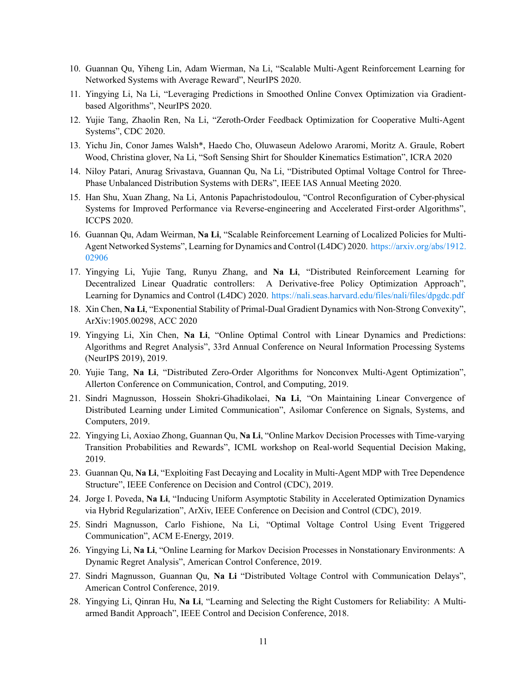- 10. Guannan Qu, Yiheng Lin, Adam Wierman, Na Li, "Scalable Multi-Agent Reinforcement Learning for Networked Systems with Average Reward", NeurIPS 2020.
- 11. Yingying Li, Na Li, "Leveraging Predictions in Smoothed Online Convex Optimization via Gradientbased Algorithms", NeurIPS 2020.
- 12. Yujie Tang, Zhaolin Ren, Na Li, "Zeroth-Order Feedback Optimization for Cooperative Multi-Agent Systems", CDC 2020.
- 13. Yichu Jin, Conor James Walsh\*, Haedo Cho, Oluwaseun Adelowo Araromi, Moritz A. Graule, Robert Wood, Christina glover, Na Li, "Soft Sensing Shirt for Shoulder Kinematics Estimation", ICRA 2020
- 14. Niloy Patari, Anurag Srivastava, Guannan Qu, Na Li, "Distributed Optimal Voltage Control for Three-Phase Unbalanced Distribution Systems with DERs", IEEE IAS Annual Meeting 2020.
- 15. Han Shu, Xuan Zhang, Na Li, Antonis Papachristodoulou, "Control Reconfiguration of Cyber-physical Systems for Improved Performance via Reverse-engineering and Accelerated First-order Algorithms", ICCPS 2020.
- 16. Guannan Qu, Adam Weirman, **Na Li**, "Scalable Reinforcement Learning of Localized Policies for Multi-Agent Networked Systems", Learning for Dynamics and Control (L4DC) 2020. [https://arxiv.org/abs/1912.](https://arxiv.org/abs/1912.02906) [02906](https://arxiv.org/abs/1912.02906)
- 17. Yingying Li, Yujie Tang, Runyu Zhang, and **Na Li**, "Distributed Reinforcement Learning for Decentralized Linear Quadratic controllers: A Derivative-free Policy Optimization Approach", Learning for Dynamics and Control (L4DC) 2020. <https://nali.seas.harvard.edu/files/nali/files/dpgdc.pdf>
- 18. Xin Chen, **Na Li**, "Exponential Stability of Primal-Dual Gradient Dynamics with Non-Strong Convexity", ArXiv:1905.00298, ACC 2020
- 19. Yingying Li, Xin Chen, **Na Li**, "Online Optimal Control with Linear Dynamics and Predictions: Algorithms and Regret Analysis", 33rd Annual Conference on Neural Information Processing Systems (NeurIPS 2019), 2019.
- 20. Yujie Tang, **Na Li**, "Distributed Zero-Order Algorithms for Nonconvex Multi-Agent Optimization", Allerton Conference on Communication, Control, and Computing, 2019.
- 21. Sindri Magnusson, Hossein Shokri-Ghadikolaei, **Na Li**, "On Maintaining Linear Convergence of Distributed Learning under Limited Communication", Asilomar Conference on Signals, Systems, and Computers, 2019.
- 22. Yingying Li, Aoxiao Zhong, Guannan Qu, **Na Li**, "Online Markov Decision Processes with Time-varying Transition Probabilities and Rewards", ICML workshop on Real-world Sequential Decision Making, 2019.
- 23. Guannan Qu, **Na Li**, "Exploiting Fast Decaying and Locality in Multi-Agent MDP with Tree Dependence Structure", IEEE Conference on Decision and Control (CDC), 2019.
- 24. Jorge I. Poveda, **Na Li**, "Inducing Uniform Asymptotic Stability in Accelerated Optimization Dynamics via Hybrid Regularization", ArXiv, IEEE Conference on Decision and Control (CDC), 2019.
- 25. Sindri Magnusson, Carlo Fishione, Na Li, "Optimal Voltage Control Using Event Triggered Communication", ACM E-Energy, 2019.
- 26. Yingying Li, **Na Li**, "Online Learning for Markov Decision Processes in Nonstationary Environments: A Dynamic Regret Analysis", American Control Conference, 2019.
- 27. Sindri Magnusson, Guannan Qu, **Na Li** "Distributed Voltage Control with Communication Delays", American Control Conference, 2019.
- 28. Yingying Li, Qinran Hu, **Na Li**, "Learning and Selecting the Right Customers for Reliability: A Multiarmed Bandit Approach", IEEE Control and Decision Conference, 2018.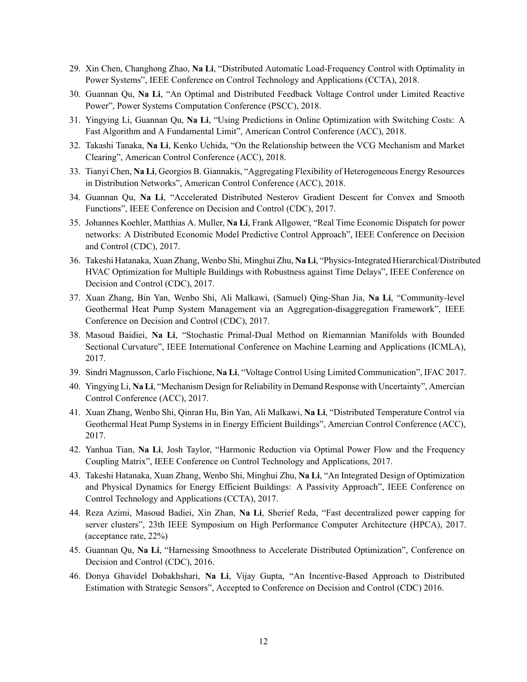- 29. Xin Chen, Changhong Zhao, **Na Li**, "Distributed Automatic Load-Frequency Control with Optimality in Power Systems", IEEE Conference on Control Technology and Applications (CCTA), 2018.
- 30. Guannan Qu, **Na Li**, "An Optimal and Distributed Feedback Voltage Control under Limited Reactive Power", Power Systems Computation Conference (PSCC), 2018.
- 31. Yingying Li, Guannan Qu, **Na Li**, "Using Predictions in Online Optimization with Switching Costs: A Fast Algorithm and A Fundamental Limit", American Control Conference (ACC), 2018.
- 32. Takashi Tanaka, **Na Li**, Kenko Uchida, "On the Relationship between the VCG Mechanism and Market Clearing", American Control Conference (ACC), 2018.
- 33. Tianyi Chen, **Na Li**, Georgios B. Giannakis, "Aggregating Flexibility of Heterogeneous Energy Resources in Distribution Networks", American Control Conference (ACC), 2018.
- 34. Guannan Qu, **Na Li**, "Accelerated Distributed Nesterov Gradient Descent for Convex and Smooth Functions", IEEE Conference on Decision and Control (CDC), 2017.
- 35. Johannes Koehler, Matthias A. Muller, **Na Li**, Frank Allgower, "Real Time Economic Dispatch for power networks: A Distributed Economic Model Predictive Control Approach", IEEE Conference on Decision and Control (CDC), 2017.
- 36. Takeshi Hatanaka, Xuan Zhang, Wenbo Shi, Minghui Zhu, **Na Li**, "Physics-Integrated Hierarchical/Distributed HVAC Optimization for Multiple Buildings with Robustness against Time Delays", IEEE Conference on Decision and Control (CDC), 2017.
- 37. Xuan Zhang, Bin Yan, Wenbo Shi, Ali Malkawi, (Samuel) Qing-Shan Jia, **Na Li**, "Community-level Geothermal Heat Pump System Management via an Aggregation-disaggregation Framework", IEEE Conference on Decision and Control (CDC), 2017.
- 38. Masoud Baidiei, **Na Li**, "Stochastic Primal-Dual Method on Riemannian Manifolds with Bounded Sectional Curvature", IEEE International Conference on Machine Learning and Applications (ICMLA), 2017.
- 39. Sindri Magnusson, Carlo Fischione, **Na Li**, "Voltage Control Using Limited Communication", IFAC 2017.
- 40. Yingying Li, **Na Li**, "Mechanism Design for Reliability in Demand Response with Uncertainty", Amercian Control Conference (ACC), 2017.
- 41. Xuan Zhang, Wenbo Shi, Qinran Hu, Bin Yan, Ali Malkawi, **Na Li**, "Distributed Temperature Control via Geothermal Heat Pump Systems in in Energy Efficient Buildings", Amercian Control Conference (ACC), 2017.
- 42. Yanhua Tian, **Na Li**, Josh Taylor, "Harmonic Reduction via Optimal Power Flow and the Frequency Coupling Matrix", IEEE Conference on Control Technology and Applications, 2017.
- 43. Takeshi Hatanaka, Xuan Zhang, Wenbo Shi, Minghui Zhu, **Na Li**, "An Integrated Design of Optimization and Physical Dynamics for Energy Efficient Buildings: A Passivity Approach", IEEE Conference on Control Technology and Applications (CCTA), 2017.
- 44. Reza Azimi, Masoud Badiei, Xin Zhan, **Na Li**, Sherief Reda, "Fast decentralized power capping for server clusters", 23th IEEE Symposium on High Performance Computer Architecture (HPCA), 2017. (acceptance rate, 22%)
- 45. Guannan Qu, **Na Li**, "Harnessing Smoothness to Accelerate Distributed Optimization", Conference on Decision and Control (CDC), 2016.
- 46. Donya Ghavidel Dobakhshari, **Na Li**, Vijay Gupta, "An Incentive-Based Approach to Distributed Estimation with Strategic Sensors", Accepted to Conference on Decision and Control (CDC) 2016.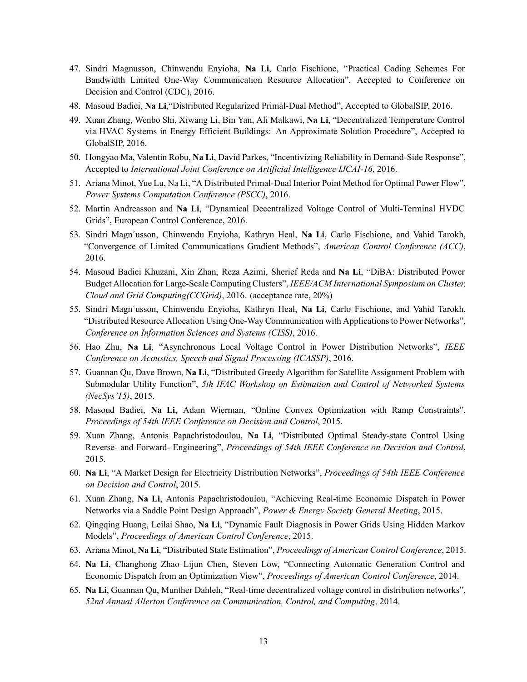- 47. Sindri Magnusson, Chinwendu Enyioha, **Na Li**, Carlo Fischione, "Practical Coding Schemes For Bandwidth Limited One-Way Communication Resource Allocation", Accepted to Conference on Decision and Control (CDC), 2016.
- 48. Masoud Badiei, **Na Li**,"Distributed Regularized Primal-Dual Method", Accepted to GlobalSIP, 2016.
- 49. Xuan Zhang, Wenbo Shi, Xiwang Li, Bin Yan, Ali Malkawi, **Na Li**, "Decentralized Temperature Control via HVAC Systems in Energy Efficient Buildings: An Approximate Solution Procedure", Accepted to GlobalSIP, 2016.
- 50. Hongyao Ma, Valentin Robu, **Na Li**, David Parkes, "Incentivizing Reliability in Demand-Side Response", Accepted to *International Joint Conference on Artificial Intelligence IJCAI-16*, 2016.
- 51. Ariana Minot, Yue Lu, Na Li, "A Distributed Primal-Dual Interior Point Method for Optimal Power Flow", *Power Systems Computation Conference (PSCC)*, 2016.
- 52. Martin Andreasson and **Na Li**, "Dynamical Decentralized Voltage Control of Multi-Terminal HVDC Grids", European Control Conference, 2016.
- 53. Sindri Magn´usson, Chinwendu Enyioha, Kathryn Heal, **Na Li**, Carlo Fischione, and Vahid Tarokh, "Convergence of Limited Communications Gradient Methods", *American Control Conference (ACC)*, 2016.
- 54. Masoud Badiei Khuzani, Xin Zhan, Reza Azimi, Sherief Reda and **Na Li**, "DiBA: Distributed Power Budget Allocation for Large-Scale Computing Clusters", *IEEE/ACM International Symposium on Cluster, Cloud and Grid Computing(CCGrid)*, 2016. (acceptance rate, 20%)
- 55. Sindri Magn´usson, Chinwendu Enyioha, Kathryn Heal, **Na Li**, Carlo Fischione, and Vahid Tarokh, "Distributed Resource Allocation Using One-Way Communication with Applications to Power Networks", *Conference on Information Sciences and Systems (CISS)*, 2016.
- 56. Hao Zhu, **Na Li**, "Asynchronous Local Voltage Control in Power Distribution Networks", *IEEE Conference on Acoustics, Speech and Signal Processing (ICASSP)*, 2016.
- 57. Guannan Qu, Dave Brown, **Na Li**, "Distributed Greedy Algorithm for Satellite Assignment Problem with Submodular Utility Function", *5th IFAC Workshop on Estimation and Control of Networked Systems (NecSys'15)*, 2015.
- 58. Masoud Badiei, **Na Li**, Adam Wierman, "Online Convex Optimization with Ramp Constraints", *Proceedings of 54th IEEE Conference on Decision and Control*, 2015.
- 59. Xuan Zhang, Antonis Papachristodoulou, **Na Li**, "Distributed Optimal Steady-state Control Using Reverse- and Forward- Engineering", *Proceedings of 54th IEEE Conference on Decision and Control*, 2015.
- 60. **Na Li**, "A Market Design for Electricity Distribution Networks", *Proceedings of 54th IEEE Conference on Decision and Control*, 2015.
- 61. Xuan Zhang, **Na Li**, Antonis Papachristodoulou, "Achieving Real-time Economic Dispatch in Power Networks via a Saddle Point Design Approach", *Power & Energy Society General Meeting*, 2015.
- 62. Qingqing Huang, Leilai Shao, **Na Li**, "Dynamic Fault Diagnosis in Power Grids Using Hidden Markov Models", *Proceedings of American Control Conference*, 2015.
- 63. Ariana Minot, **Na Li**, "Distributed State Estimation", *Proceedings of American Control Conference*, 2015.
- 64. **Na Li**, Changhong Zhao Lijun Chen, Steven Low, "Connecting Automatic Generation Control and Economic Dispatch from an Optimization View", *Proceedings of American Control Conference*, 2014.
- 65. **Na Li**, Guannan Qu, Munther Dahleh, "Real-time decentralized voltage control in distribution networks", *52nd Annual Allerton Conference on Communication, Control, and Computing*, 2014.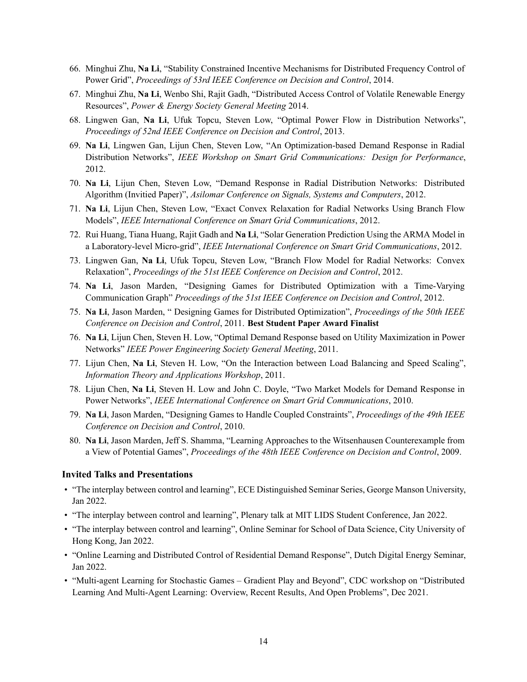- 66. Minghui Zhu, **Na Li**, "Stability Constrained Incentive Mechanisms for Distributed Frequency Control of Power Grid", *Proceedings of 53rd IEEE Conference on Decision and Control*, 2014.
- 67. Minghui Zhu, **Na Li**, Wenbo Shi, Rajit Gadh, "Distributed Access Control of Volatile Renewable Energy Resources", *Power & Energy Society General Meeting* 2014.
- 68. Lingwen Gan, **Na Li**, Ufuk Topcu, Steven Low, "Optimal Power Flow in Distribution Networks", *Proceedings of 52nd IEEE Conference on Decision and Control*, 2013.
- 69. **Na Li**, Lingwen Gan, Lijun Chen, Steven Low, "An Optimization-based Demand Response in Radial Distribution Networks", *IEEE Workshop on Smart Grid Communications: Design for Performance*, 2012.
- 70. **Na Li**, Lijun Chen, Steven Low, "Demand Response in Radial Distribution Networks: Distributed Algorithm (Invitied Paper)", *Asilomar Conference on Signals, Systems and Computers*, 2012.
- 71. **Na Li**, Lijun Chen, Steven Low, "Exact Convex Relaxation for Radial Networks Using Branch Flow Models", *IEEE International Conference on Smart Grid Communications*, 2012.
- 72. Rui Huang, Tiana Huang, Rajit Gadh and **Na Li**, "Solar Generation Prediction Using the ARMA Model in a Laboratory-level Micro-grid", *IEEE International Conference on Smart Grid Communications*, 2012.
- 73. Lingwen Gan, **Na Li**, Ufuk Topcu, Steven Low, "Branch Flow Model for Radial Networks: Convex Relaxation", *Proceedings of the 51st IEEE Conference on Decision and Control*, 2012.
- 74. **Na Li**, Jason Marden, "Designing Games for Distributed Optimization with a Time-Varying Communication Graph" *Proceedings of the 51st IEEE Conference on Decision and Control*, 2012.
- 75. **Na Li**, Jason Marden, " Designing Games for Distributed Optimization", *Proceedings of the 50th IEEE Conference on Decision and Control*, 2011. **Best Student Paper Award Finalist**
- 76. **Na Li**, Lijun Chen, Steven H. Low, "Optimal Demand Response based on Utility Maximization in Power Networks" *IEEE Power Engineering Society General Meeting*, 2011.
- 77. Lijun Chen, **Na Li**, Steven H. Low, "On the Interaction between Load Balancing and Speed Scaling", *Information Theory and Applications Workshop*, 2011.
- 78. Lijun Chen, **Na Li**, Steven H. Low and John C. Doyle, "Two Market Models for Demand Response in Power Networks", *IEEE International Conference on Smart Grid Communications*, 2010.
- 79. **Na Li**, Jason Marden, "Designing Games to Handle Coupled Constraints", *Proceedings of the 49th IEEE Conference on Decision and Control*, 2010.
- 80. **Na Li**, Jason Marden, Jeff S. Shamma, "Learning Approaches to the Witsenhausen Counterexample from a View of Potential Games", *Proceedings of the 48th IEEE Conference on Decision and Control*, 2009.

#### **Invited Talks and Presentations**

- "The interplay between control and learning", ECE Distinguished Seminar Series, George Manson University, Jan 2022.
- "The interplay between control and learning", Plenary talk at MIT LIDS Student Conference, Jan 2022.
- "The interplay between control and learning", Online Seminar for School of Data Science, City University of Hong Kong, Jan 2022.
- "Online Learning and Distributed Control of Residential Demand Response", Dutch Digital Energy Seminar, Jan 2022.
- "Multi-agent Learning for Stochastic Games Gradient Play and Beyond", CDC workshop on "Distributed Learning And Multi-Agent Learning: Overview, Recent Results, And Open Problems", Dec 2021.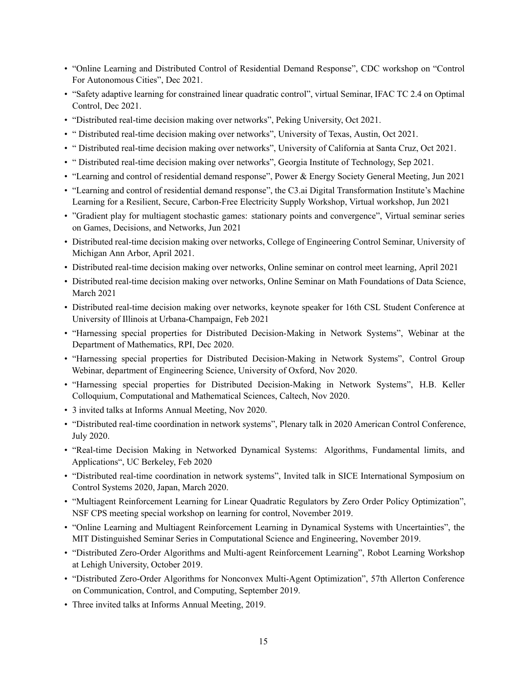- "Online Learning and Distributed Control of Residential Demand Response", CDC workshop on "Control For Autonomous Cities", Dec 2021.
- "Safety adaptive learning for constrained linear quadratic control", virtual Seminar, IFAC TC 2.4 on Optimal Control, Dec 2021.
- "Distributed real-time decision making over networks", Peking University, Oct 2021.
- " Distributed real-time decision making over networks", University of Texas, Austin, Oct 2021.
- " Distributed real-time decision making over networks", University of California at Santa Cruz, Oct 2021.
- " Distributed real-time decision making over networks", Georgia Institute of Technology, Sep 2021.
- "Learning and control of residential demand response", Power & Energy Society General Meeting, Jun 2021
- "Learning and control of residential demand response", the C3.ai Digital Transformation Institute's Machine Learning for a Resilient, Secure, Carbon-Free Electricity Supply Workshop, Virtual workshop, Jun 2021
- "Gradient play for multiagent stochastic games: stationary points and convergence", Virtual seminar series on Games, Decisions, and Networks, Jun 2021
- Distributed real-time decision making over networks, College of Engineering Control Seminar, University of Michigan Ann Arbor, April 2021.
- Distributed real-time decision making over networks, Online seminar on control meet learning, April 2021
- Distributed real-time decision making over networks, Online Seminar on Math Foundations of Data Science, March 2021
- Distributed real-time decision making over networks, keynote speaker for 16th CSL Student Conference at University of Illinois at Urbana-Champaign, Feb 2021
- "Harnessing special properties for Distributed Decision-Making in Network Systems", Webinar at the Department of Mathematics, RPI, Dec 2020.
- "Harnessing special properties for Distributed Decision-Making in Network Systems", Control Group Webinar, department of Engineering Science, University of Oxford, Nov 2020.
- "Harnessing special properties for Distributed Decision-Making in Network Systems", H.B. Keller Colloquium, Computational and Mathematical Sciences, Caltech, Nov 2020.
- 3 invited talks at Informs Annual Meeting, Nov 2020.
- "Distributed real-time coordination in network systems", Plenary talk in 2020 American Control Conference, July 2020.
- "Real-time Decision Making in Networked Dynamical Systems: Algorithms, Fundamental limits, and Applications", UC Berkeley, Feb 2020
- "Distributed real-time coordination in network systems", Invited talk in SICE International Symposium on Control Systems 2020, Japan, March 2020.
- "Multiagent Reinforcement Learning for Linear Quadratic Regulators by Zero Order Policy Optimization", NSF CPS meeting special workshop on learning for control, November 2019.
- "Online Learning and Multiagent Reinforcement Learning in Dynamical Systems with Uncertainties", the MIT Distinguished Seminar Series in Computational Science and Engineering, November 2019.
- "Distributed Zero-Order Algorithms and Multi-agent Reinforcement Learning", Robot Learning Workshop at Lehigh University, October 2019.
- "Distributed Zero-Order Algorithms for Nonconvex Multi-Agent Optimization", 57th Allerton Conference on Communication, Control, and Computing, September 2019.
- Three invited talks at Informs Annual Meeting, 2019.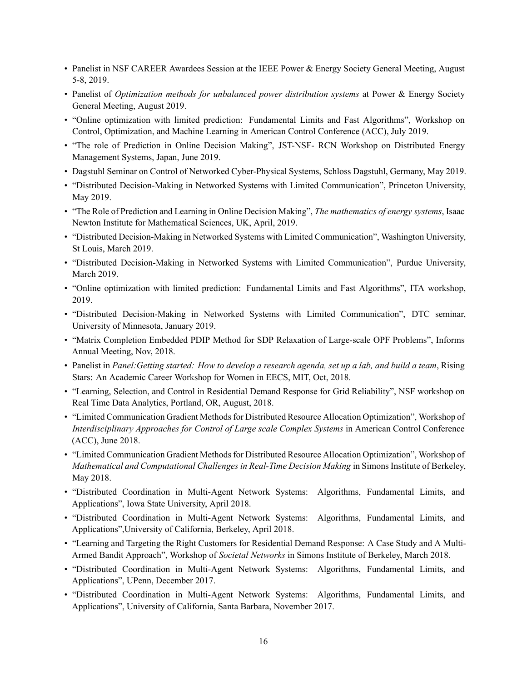- Panelist in NSF CAREER Awardees Session at the IEEE Power & Energy Society General Meeting, August 5-8, 2019.
- Panelist of *Optimization methods for unbalanced power distribution systems* at Power & Energy Society General Meeting, August 2019.
- "Online optimization with limited prediction: Fundamental Limits and Fast Algorithms", Workshop on Control, Optimization, and Machine Learning in American Control Conference (ACC), July 2019.
- "The role of Prediction in Online Decision Making", JST-NSF- RCN Workshop on Distributed Energy Management Systems, Japan, June 2019.
- Dagstuhl Seminar on Control of Networked Cyber-Physical Systems, Schloss Dagstuhl, Germany, May 2019.
- "Distributed Decision-Making in Networked Systems with Limited Communication", Princeton University, May 2019.
- "The Role of Prediction and Learning in Online Decision Making", *The mathematics of energy systems*, Isaac Newton Institute for Mathematical Sciences, UK, April, 2019.
- "Distributed Decision-Making in Networked Systems with Limited Communication", Washington University, St Louis, March 2019.
- "Distributed Decision-Making in Networked Systems with Limited Communication", Purdue University, March 2019.
- "Online optimization with limited prediction: Fundamental Limits and Fast Algorithms", ITA workshop, 2019.
- "Distributed Decision-Making in Networked Systems with Limited Communication", DTC seminar, University of Minnesota, January 2019.
- "Matrix Completion Embedded PDIP Method for SDP Relaxation of Large-scale OPF Problems", Informs Annual Meeting, Nov, 2018.
- Panelist in *Panel:Getting started: How to develop a research agenda, set up a lab, and build a team*, Rising Stars: An Academic Career Workshop for Women in EECS, MIT, Oct, 2018.
- "Learning, Selection, and Control in Residential Demand Response for Grid Reliability", NSF workshop on Real Time Data Analytics, Portland, OR, August, 2018.
- "Limited Communication Gradient Methods for Distributed Resource Allocation Optimization", Workshop of *Interdisciplinary Approaches for Control of Large scale Complex Systems* in American Control Conference (ACC), June 2018.
- "Limited Communication Gradient Methods for Distributed Resource Allocation Optimization", Workshop of *Mathematical and Computational Challenges in Real-Time Decision Making* in Simons Institute of Berkeley, May 2018.
- "Distributed Coordination in Multi-Agent Network Systems: Algorithms, Fundamental Limits, and Applications", Iowa State University, April 2018.
- "Distributed Coordination in Multi-Agent Network Systems: Algorithms, Fundamental Limits, and Applications",University of California, Berkeley, April 2018.
- "Learning and Targeting the Right Customers for Residential Demand Response: A Case Study and A Multi-Armed Bandit Approach", Workshop of *Societal Networks* in Simons Institute of Berkeley, March 2018.
- "Distributed Coordination in Multi-Agent Network Systems: Algorithms, Fundamental Limits, and Applications", UPenn, December 2017.
- "Distributed Coordination in Multi-Agent Network Systems: Algorithms, Fundamental Limits, and Applications", University of California, Santa Barbara, November 2017.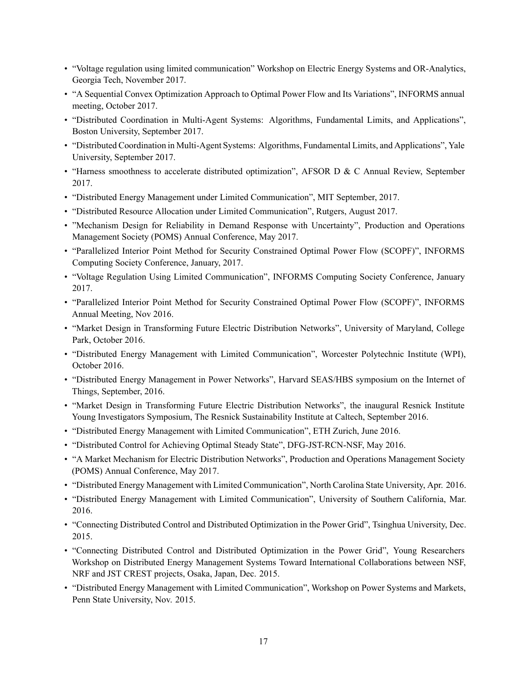- "Voltage regulation using limited communication" Workshop on Electric Energy Systems and OR-Analytics, Georgia Tech, November 2017.
- "A Sequential Convex Optimization Approach to Optimal Power Flow and Its Variations", INFORMS annual meeting, October 2017.
- "Distributed Coordination in Multi-Agent Systems: Algorithms, Fundamental Limits, and Applications", Boston University, September 2017.
- "Distributed Coordination in Multi-Agent Systems: Algorithms, Fundamental Limits, and Applications", Yale University, September 2017.
- "Harness smoothness to accelerate distributed optimization", AFSOR D & C Annual Review, September 2017.
- "Distributed Energy Management under Limited Communication", MIT September, 2017.
- "Distributed Resource Allocation under Limited Communication", Rutgers, August 2017.
- "Mechanism Design for Reliability in Demand Response with Uncertainty", Production and Operations Management Society (POMS) Annual Conference, May 2017.
- "Parallelized Interior Point Method for Security Constrained Optimal Power Flow (SCOPF)", INFORMS Computing Society Conference, January, 2017.
- "Voltage Regulation Using Limited Communication", INFORMS Computing Society Conference, January 2017.
- "Parallelized Interior Point Method for Security Constrained Optimal Power Flow (SCOPF)", INFORMS Annual Meeting, Nov 2016.
- "Market Design in Transforming Future Electric Distribution Networks", University of Maryland, College Park, October 2016.
- "Distributed Energy Management with Limited Communication", Worcester Polytechnic Institute (WPI), October 2016.
- "Distributed Energy Management in Power Networks", Harvard SEAS/HBS symposium on the Internet of Things, September, 2016.
- "Market Design in Transforming Future Electric Distribution Networks", the inaugural Resnick Institute Young Investigators Symposium, The Resnick Sustainability Institute at Caltech, September 2016.
- "Distributed Energy Management with Limited Communication", ETH Zurich, June 2016.
- "Distributed Control for Achieving Optimal Steady State", DFG-JST-RCN-NSF, May 2016.
- "A Market Mechanism for Electric Distribution Networks", Production and Operations Management Society (POMS) Annual Conference, May 2017.
- "Distributed Energy Management with Limited Communication", North Carolina State University, Apr. 2016.
- "Distributed Energy Management with Limited Communication", University of Southern California, Mar. 2016.
- "Connecting Distributed Control and Distributed Optimization in the Power Grid", Tsinghua University, Dec. 2015.
- "Connecting Distributed Control and Distributed Optimization in the Power Grid", Young Researchers Workshop on Distributed Energy Management Systems Toward International Collaborations between NSF, NRF and JST CREST projects, Osaka, Japan, Dec. 2015.
- "Distributed Energy Management with Limited Communication", Workshop on Power Systems and Markets, Penn State University, Nov. 2015.